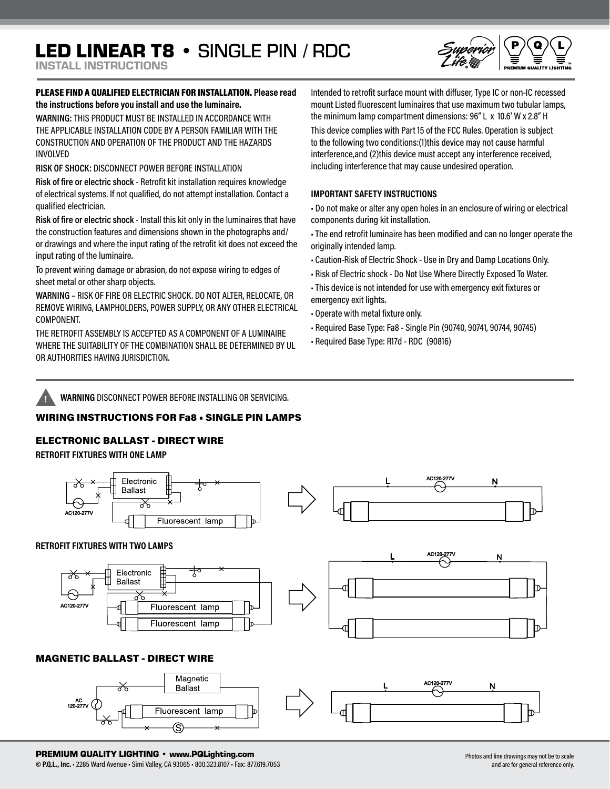# LED LINEAR T8 • SINGLE PIN / RDC

INSTALL INSTRUCTIONS

## PLEASE FIND A QUALIFIED ELECTRICIAN FOR INSTALLATION. **Please read the instructions before you install and use the luminaire.**

**WARNING:** THIS PRODUCT MUST BE INSTALLED IN ACCORDANCE WITH THE APPLICABLE INSTALLATION CODE BY A PERSON FAMILIAR WITH THE CONSTRUCTION AND OPERATION OF THE PRODUCT AND THE HAZARDS INVOLVED

**RISK OF SHOCK:** DISCONNECT POWER BEFORE INSTALLATION

**Risk of fire or electric shock** - Retrofit kit installation requires knowledge of electrical systems. If not qualified, do not attempt installation. Contact a qualified electrician.

**Risk of fire or electric shock** - Install this kit only in the luminaires that have the construction features and dimensions shown in the photographs and/ or drawings and where the input rating of the retrofit kit does not exceed the input rating of the luminaire.

To prevent wiring damage or abrasion, do not expose wiring to edges of sheet metal or other sharp objects.

**WARNING** – RISK OF FIRE OR ELECTRIC SHOCK. DO NOT ALTER, RELOCATE, OR REMOVE WIRING, LAMPHOLDERS, POWER SUPPLY, OR ANY OTHER ELECTRICAL COMPONENT.

THE RETROFIT ASSEMBLY IS ACCEPTED AS A COMPONENT OF A LUMINAIRE WHERE THE SUITABILITY OF THE COMBINATION SHALL BE DETERMINED BY UL OR AUTHORITIES HAVING JURISDICTION.

Intended to retrofit surface mount with diffuser, Type IC or non-IC recessed mount Listed fluorescent luminaires that use maximum two tubular lamps, the minimum lamp compartment dimensions: 96" L x 10.6' W x 2.8" H

This device complies with Part 15 of the FCC Rules. Operation is subject to the following two conditions:(1)this device may not cause harmful interference,and (2)this device must accept any interference received, including interference that may cause undesired operation.

## **IMPORTANT SAFETY INSTRUCTIONS**

• Do not make or alter any open holes in an enclosure of wiring or electrical components during kit installation.

• The end retrofit luminaire has been modified and can no longer operate the originally intended lamp.

- Caution-Risk of Electric Shock Use in Dry and Damp Locations Only.
- Risk of Electric shock Do Not Use Where Directly Exposed To Water.
- This device is not intended for use with emergency exit fixtures or emergency exit lights.
- Operate with metal fixture only.
- Required Base Type: Fa8 Single Pin (90740, 90741, 90744, 90745)
- Required Base Type: R17d RDC (90816)



**! WARNING** DISCONNECT POWER BEFORE INSTALLING OR SERVICING.

# WIRING INSTRUCTIONS FOR Fa8 • SINGLE PIN LAMPS

# ELECTRONIC BALLAST - DIRECT WIRE

**RETROFIT FIXTURES WITH ONE LAMP**



# MAGNETIC BALLAST - DIRECT WIRE